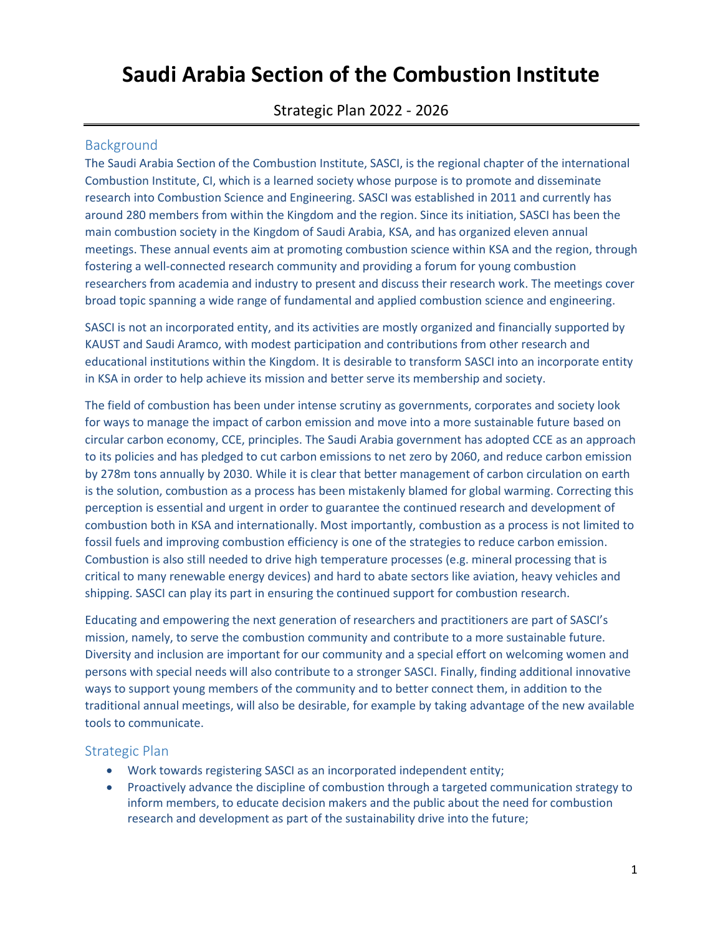## **Saudi Arabia Section of the Combustion Institute**

Strategic Plan 2022 - 2026

## Background

The Saudi Arabia Section of the Combustion Institute, SASCI, is the regional chapter of the international Combustion Institute, CI, which is a learned society whose purpose is to promote and disseminate research into Combustion Science and Engineering. SASCI was established in 2011 and currently has around 280 members from within the Kingdom and the region. Since its initiation, SASCI has been the main combustion society in the Kingdom of Saudi Arabia, KSA, and has organized eleven annual meetings. These annual events aim at promoting combustion science within KSA and the region, through fostering a well-connected research community and providing a forum for young combustion researchers from academia and industry to present and discuss their research work. The meetings cover broad topic spanning a wide range of fundamental and applied combustion science and engineering.

SASCI is not an incorporated entity, and its activities are mostly organized and financially supported by KAUST and Saudi Aramco, with modest participation and contributions from other research and educational institutions within the Kingdom. It is desirable to transform SASCI into an incorporate entity in KSA in order to help achieve its mission and better serve its membership and society.

The field of combustion has been under intense scrutiny as governments, corporates and society look for ways to manage the impact of carbon emission and move into a more sustainable future based on circular carbon economy, CCE, principles. The Saudi Arabia government has adopted CCE as an approach to its policies and has pledged to cut carbon emissions to net zero by 2060, and reduce carbon emission by 278m tons annually by 2030. While it is clear that better management of carbon circulation on earth is the solution, combustion as a process has been mistakenly blamed for global warming. Correcting this perception is essential and urgent in order to guarantee the continued research and development of combustion both in KSA and internationally. Most importantly, combustion as a process is not limited to fossil fuels and improving combustion efficiency is one of the strategies to reduce carbon emission. Combustion is also still needed to drive high temperature processes (e.g. mineral processing that is critical to many renewable energy devices) and hard to abate sectors like aviation, heavy vehicles and shipping. SASCI can play its part in ensuring the continued support for combustion research.

Educating and empowering the next generation of researchers and practitioners are part of SASCI's mission, namely, to serve the combustion community and contribute to a more sustainable future. Diversity and inclusion are important for our community and a special effort on welcoming women and persons with special needs will also contribute to a stronger SASCI. Finally, finding additional innovative ways to support young members of the community and to better connect them, in addition to the traditional annual meetings, will also be desirable, for example by taking advantage of the new available tools to communicate.

## Strategic Plan

- Work towards registering SASCI as an incorporated independent entity;
- Proactively advance the discipline of combustion through a targeted communication strategy to inform members, to educate decision makers and the public about the need for combustion research and development as part of the sustainability drive into the future;